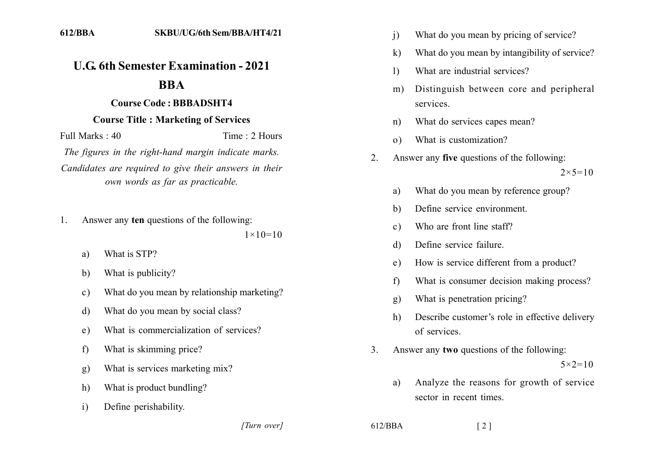## **U.G. 6th Semester Examination - 2021**

## **BBA**

## **Course Code: BBBADSHT4**

## **Course Title: Marketing of Services**

Full Marks  $\cdot$  40 Time  $\cdot$  2 Hours

The figures in the right-hand margin indicate marks. Candidates are required to give their answers in their own words as far as practicable.

Answer any ten questions of the following:  $\mathbf{1}$ .

 $1 \times 10 = 10$ 

- What is STP?  $a)$
- What is publicity?  $h)$
- What do you mean by relationship marketing?  $\mathbf{c}$ )
- What do you mean by social class?  $d)$
- What is commercialization of services?  $e)$
- What is skimming price?  $f$
- What is services marketing mix?  $g)$
- What is product bundling?  $h)$
- Define perishability.  $\mathbf{i}$

[Turn over]

- What do you mean by pricing of service?  $\mathbf{i}$
- $\bf k$ What do you mean by intangibility of service?
- What are industrial services?  $\mathbf{D}$
- Distinguish between core and peripheral  $m)$ services.
- What do services capes mean?  $n)$
- What is customization?  $\Omega$
- Answer any **five** questions of the following:  $\overline{2}$

 $2 \times 5 = 10$ 

- What do you mean by reference group? a)
- Define service environment. b)
- Who are front line staff?  $c)$
- Define service failure.  $\mathbf{d}$
- How is service different from a product?  $e)$
- What is consumer decision making process?  $f$
- What is penetration pricing?  $g)$
- Describe customer's role in effective delivery h) of services
- $\mathcal{E}$ Answer any two questions of the following:

 $5 \times 2 = 10$ 

- Analyze the reasons for growth of service a) sector in recent times
- $612/BBA$

 $\lceil 2 \rceil$